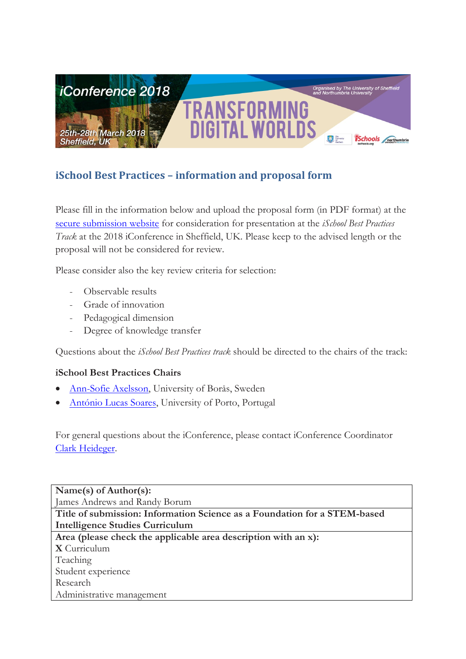

# **iSchool Best Practices - information and proposal form**

Please fill in the information below and upload the proposal form (in PDF format) at the secure submission website for consideration for presentation at the *iSchool Best Practices Track* at the 2018 iConference in Sheffield, UK. Please keep to the advised length or the proposal will not be considered for review.

Please consider also the key review criteria for selection:

- Observable results
- Grade of innovation
- Pedagogical dimension
- Degree of knowledge transfer

Questions about the *iSchool Best Practices track* should be directed to the chairs of the track:

#### **iSchool Best Practices Chairs**

- Ann-Sofie Axelsson, University of Borås, Sweden
- António Lucas Soares, University of Porto, Portugal

For general questions about the iConference, please contact iConference Coordinator Clark Heideger.

| Name(s) of Author(s):                                                     |
|---------------------------------------------------------------------------|
| James Andrews and Randy Borum                                             |
| Title of submission: Information Science as a Foundation for a STEM-based |
| <b>Intelligence Studies Curriculum</b>                                    |
| Area (please check the applicable area description with an x):            |
| X Curriculum                                                              |
| Teaching                                                                  |
| Student experience                                                        |
| Research                                                                  |
| Administrative management                                                 |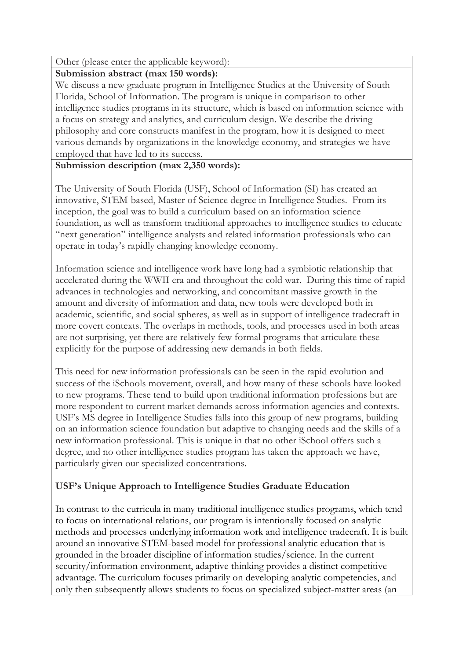Other (please enter the applicable keyword):

#### **Submission abstract (max 150 words):**

We discuss a new graduate program in Intelligence Studies at the University of South Florida, School of Information. The program is unique in comparison to other intelligence studies programs in its structure, which is based on information science with a focus on strategy and analytics, and curriculum design. We describe the driving philosophy and core constructs manifest in the program, how it is designed to meet various demands by organizations in the knowledge economy, and strategies we have employed that have led to its success.

#### **Submission description (max 2,350 words):**

The University of South Florida (USF), School of Information (SI) has created an innovative, STEM-based, Master of Science degree in Intelligence Studies. From its inception, the goal was to build a curriculum based on an information science foundation, as well as transform traditional approaches to intelligence studies to educate "next generation" intelligence analysts and related information professionals who can operate in today's rapidly changing knowledge economy.

Information science and intelligence work have long had a symbiotic relationship that accelerated during the WWII era and throughout the cold war. During this time of rapid advances in technologies and networking, and concomitant massive growth in the amount and diversity of information and data, new tools were developed both in academic, scientific, and social spheres, as well as in support of intelligence tradecraft in more covert contexts. The overlaps in methods, tools, and processes used in both areas are not surprising, yet there are relatively few formal programs that articulate these explicitly for the purpose of addressing new demands in both fields.

This need for new information professionals can be seen in the rapid evolution and success of the iSchools movement, overall, and how many of these schools have looked to new programs. These tend to build upon traditional information professions but are more respondent to current market demands across information agencies and contexts. USF's MS degree in Intelligence Studies falls into this group of new programs, building on an information science foundation but adaptive to changing needs and the skills of a new information professional. This is unique in that no other iSchool offers such a degree, and no other intelligence studies program has taken the approach we have, particularly given our specialized concentrations.

### **USF's Unique Approach to Intelligence Studies Graduate Education**

In contrast to the curricula in many traditional intelligence studies programs, which tend to focus on international relations, our program is intentionally focused on analytic methods and processes underlying information work and intelligence tradecraft. It is built around an innovative STEM-based model for professional analytic education that is grounded in the broader discipline of information studies/science. In the current security/information environment, adaptive thinking provides a distinct competitive advantage. The curriculum focuses primarily on developing analytic competencies, and only then subsequently allows students to focus on specialized subject-matter areas (an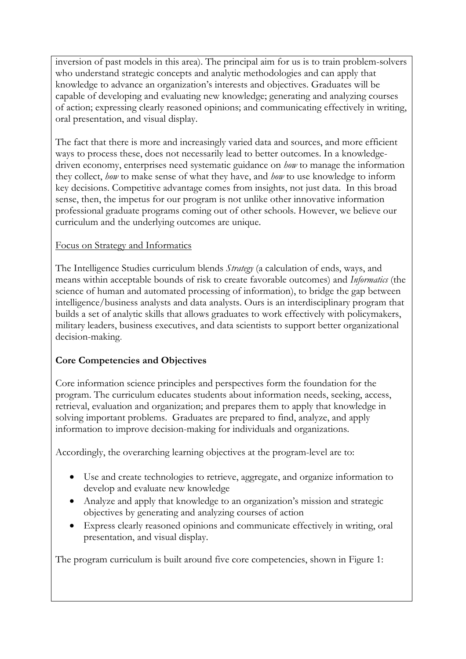inversion of past models in this area). The principal aim for us is to train problem-solvers who understand strategic concepts and analytic methodologies and can apply that knowledge to advance an organization's interests and objectives. Graduates will be capable of developing and evaluating new knowledge; generating and analyzing courses of action; expressing clearly reasoned opinions; and communicating effectively in writing, oral presentation, and visual display.

The fact that there is more and increasingly varied data and sources, and more efficient ways to process these, does not necessarily lead to better outcomes. In a knowledgedriven economy, enterprises need systematic guidance on *how* to manage the information they collect, *how* to make sense of what they have, and *how* to use knowledge to inform key decisions. Competitive advantage comes from insights, not just data. In this broad sense, then, the impetus for our program is not unlike other innovative information professional graduate programs coming out of other schools. However, we believe our curriculum and the underlying outcomes are unique.

### Focus on Strategy and Informatics

The Intelligence Studies curriculum blends *Strategy* (a calculation of ends, ways, and means within acceptable bounds of risk to create favorable outcomes) and *Informatics* (the science of human and automated processing of information), to bridge the gap between intelligence/business analysts and data analysts. Ours is an interdisciplinary program that builds a set of analytic skills that allows graduates to work effectively with policymakers, military leaders, business executives, and data scientists to support better organizational decision-making.

### **Core Competencies and Objectives**

Core information science principles and perspectives form the foundation for the program. The curriculum educates students about information needs, seeking, access, retrieval, evaluation and organization; and prepares them to apply that knowledge in solving important problems. Graduates are prepared to find, analyze, and apply information to improve decision-making for individuals and organizations.

Accordingly, the overarching learning objectives at the program-level are to:

- Use and create technologies to retrieve, aggregate, and organize information to develop and evaluate new knowledge
- Analyze and apply that knowledge to an organization's mission and strategic objectives by generating and analyzing courses of action
- Express clearly reasoned opinions and communicate effectively in writing, oral presentation, and visual display.

The program curriculum is built around five core competencies, shown in Figure 1: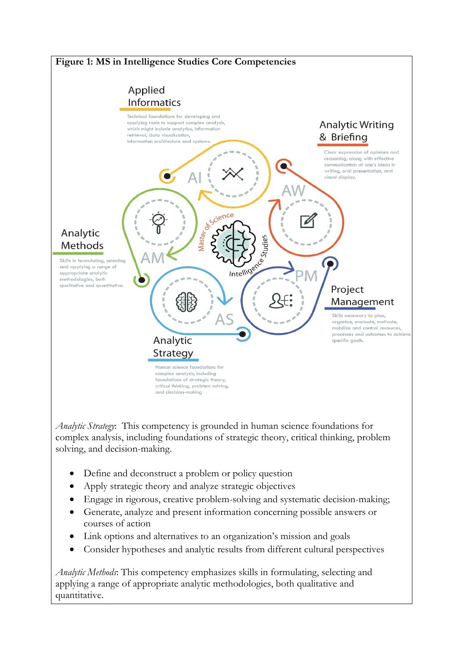

*Analytic Strategy*: This competency is grounded in human science foundations for complex analysis, including foundations of strategic theory, critical thinking, problem solving, and decision-making.

- Define and deconstruct a problem or policy question
- Apply strategic theory and analyze strategic objectives
- Engage in rigorous, creative problem-solving and systematic decision-making;
- Generate, analyze and present information concerning possible answers or courses of action
- Link options and alternatives to an organization's mission and goals
- Consider hypotheses and analytic results from different cultural perspectives

*Analytic Methods*: This competency emphasizes skills in formulating, selecting and applying a range of appropriate analytic methodologies, both qualitative and quantitative.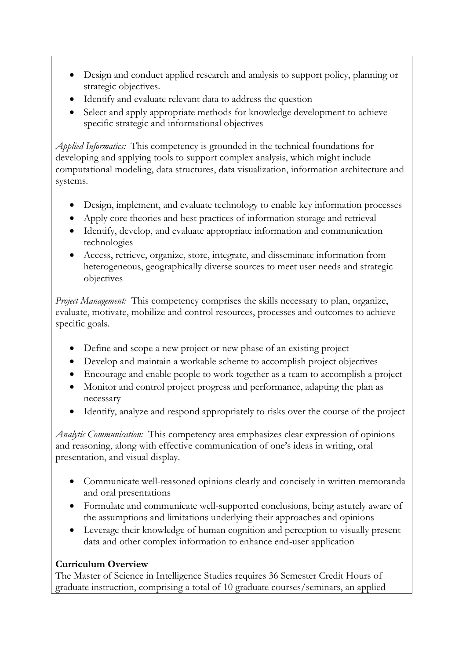- Design and conduct applied research and analysis to support policy, planning or strategic objectives.
- Identify and evaluate relevant data to address the question
- Select and apply appropriate methods for knowledge development to achieve specific strategic and informational objectives

*Applied Informatics:* This competency is grounded in the technical foundations for developing and applying tools to support complex analysis, which might include computational modeling, data structures, data visualization, information architecture and systems.

- Design, implement, and evaluate technology to enable key information processes
- Apply core theories and best practices of information storage and retrieval
- Identify, develop, and evaluate appropriate information and communication technologies
- Access, retrieve, organize, store, integrate, and disseminate information from heterogeneous, geographically diverse sources to meet user needs and strategic objectives

*Project Management:* This competency comprises the skills necessary to plan, organize, evaluate, motivate, mobilize and control resources, processes and outcomes to achieve specific goals.

- Define and scope a new project or new phase of an existing project
- Develop and maintain a workable scheme to accomplish project objectives
- Encourage and enable people to work together as a team to accomplish a project
- Monitor and control project progress and performance, adapting the plan as necessary
- Identify, analyze and respond appropriately to risks over the course of the project

*Analytic Communication:* This competency area emphasizes clear expression of opinions and reasoning, along with effective communication of one's ideas in writing, oral presentation, and visual display.

- Communicate well-reasoned opinions clearly and concisely in written memoranda and oral presentations
- Formulate and communicate well-supported conclusions, being astutely aware of the assumptions and limitations underlying their approaches and opinions
- Leverage their knowledge of human cognition and perception to visually present data and other complex information to enhance end-user application

### **Curriculum Overview**

The Master of Science in Intelligence Studies requires 36 Semester Credit Hours of graduate instruction, comprising a total of 10 graduate courses/seminars, an applied